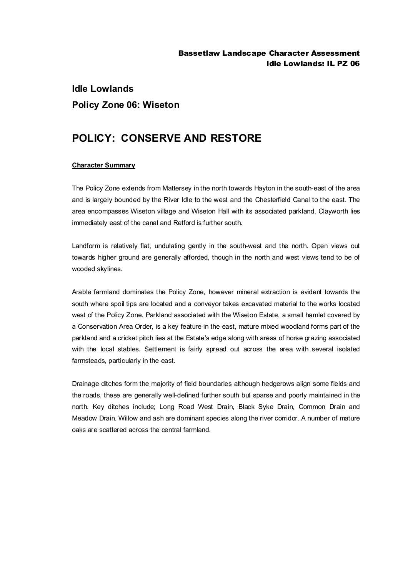## **Idle Lowlands Policy Zone 06: Wiseton**

## **POLICY: CONSERVE AND RESTORE**

## **Character Summary**

The Policy Zone extends from Mattersey in the north towards Hayton in the south-east of the area and is largely bounded by the River Idle to the west and the Chesterfield Canal to the east. The area encompasses Wiseton village and Wiseton Hall with its associated parkland. Clayworth lies immediately east of the canal and Retford is further south.

Landform is relatively flat, undulating gently in the south-west and the north. Open views out towards higher ground are generally afforded, though in the north and west views tend to be of wooded skylines.

Arable farmland dominates the Policy Zone, however mineral extraction is evident towards the south where spoil tips are located and a conveyor takes excavated material to the works located west of the Policy Zone. Parkland associated with the Wiseton Estate, a small hamlet covered by a Conservation Area Order, is a key feature in the east, mature mixed woodland forms part of the parkland and a cricket pitch lies at the Estate's edge along with areas of horse grazing associated with the local stables. Settlement is fairly spread out across the area with several isolated farmsteads, particularly in the east.

Drainage ditches form the majority of field boundaries although hedgerows align some fields and the roads, these are generally well-defined further south but sparse and poorly maintained in the north. Key ditches include; Long Road West Drain, Black Syke Drain, Common Drain and Meadow Drain. Willow and ash are dominant species along the river corridor. A number of mature oaks are scattered across the central farmland.